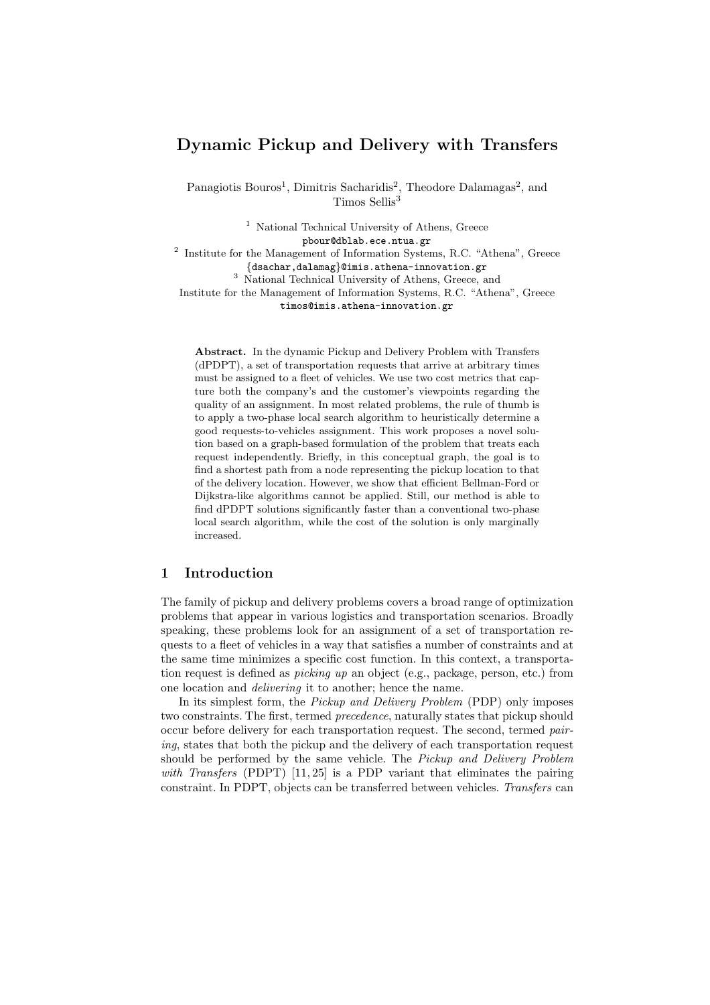# Dynamic Pickup and Delivery with Transfers

Panagiotis Bouros<sup>1</sup>, Dimitris Sacharidis<sup>2</sup>, Theodore Dalamagas<sup>2</sup>, and Timos Sellis<sup>3</sup>

<sup>1</sup> National Technical University of Athens, Greece

pbour@dblab.ece.ntua.gr

<sup>2</sup> Institute for the Management of Information Systems, R.C. "Athena", Greece {dsachar,dalamag}@imis.athena-innovation.gr

<sup>3</sup> National Technical University of Athens, Greece, and

Institute for the Management of Information Systems, R.C. "Athena", Greece timos@imis.athena-innovation.gr

Abstract. In the dynamic Pickup and Delivery Problem with Transfers (dPDPT), a set of transportation requests that arrive at arbitrary times must be assigned to a fleet of vehicles. We use two cost metrics that capture both the company's and the customer's viewpoints regarding the quality of an assignment. In most related problems, the rule of thumb is to apply a two-phase local search algorithm to heuristically determine a good requests-to-vehicles assignment. This work proposes a novel solution based on a graph-based formulation of the problem that treats each request independently. Briefly, in this conceptual graph, the goal is to find a shortest path from a node representing the pickup location to that of the delivery location. However, we show that efficient Bellman-Ford or Dijkstra-like algorithms cannot be applied. Still, our method is able to find dPDPT solutions significantly faster than a conventional two-phase local search algorithm, while the cost of the solution is only marginally increased.

# 1 Introduction

The family of pickup and delivery problems covers a broad range of optimization problems that appear in various logistics and transportation scenarios. Broadly speaking, these problems look for an assignment of a set of transportation requests to a fleet of vehicles in a way that satisfies a number of constraints and at the same time minimizes a specific cost function. In this context, a transportation request is defined as *picking up* an object (e.g., package, person, etc.) from one location and delivering it to another; hence the name.

In its simplest form, the Pickup and Delivery Problem (PDP) only imposes two constraints. The first, termed precedence, naturally states that pickup should occur before delivery for each transportation request. The second, termed pairing, states that both the pickup and the delivery of each transportation request should be performed by the same vehicle. The Pickup and Delivery Problem with Transfers (PDPT)  $[11, 25]$  is a PDP variant that eliminates the pairing constraint. In PDPT, objects can be transferred between vehicles. Transfers can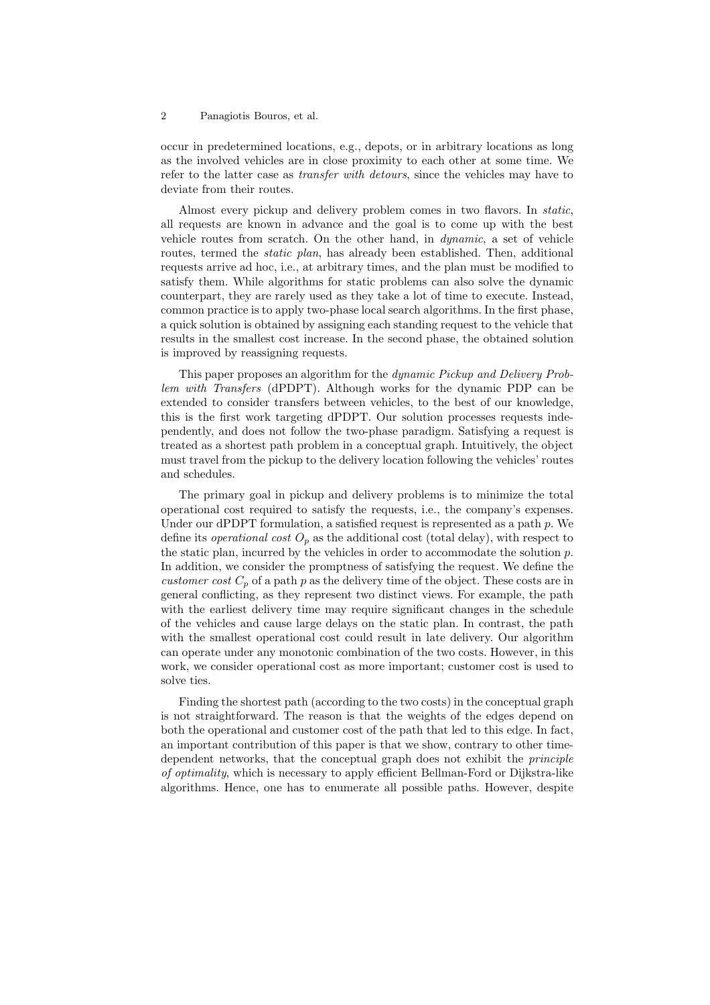occur in predetermined locations, e.g., depots, or in arbitrary locations as long as the involved vehicles are in close proximity to each other at some time. We refer to the latter case as *transfer with detours*, since the vehicles may have to deviate from their routes.

Almost every pickup and delivery problem comes in two flavors. In static, all requests are known in advance and the goal is to come up with the best vehicle routes from scratch. On the other hand, in dynamic, a set of vehicle routes, termed the *static plan*, has already been established. Then, additional requests arrive ad hoc, i.e., at arbitrary times, and the plan must be modified to satisfy them. While algorithms for static problems can also solve the dynamic counterpart, they are rarely used as they take a lot of time to execute. Instead, common practice is to apply two-phase local search algorithms. In the first phase, a quick solution is obtained by assigning each standing request to the vehicle that results in the smallest cost increase. In the second phase, the obtained solution is improved by reassigning requests.

This paper proposes an algorithm for the *dynamic Pickup and Delivery Prob*lem with Transfers (dPDPT). Although works for the dynamic PDP can be extended to consider transfers between vehicles, to the best of our knowledge, this is the first work targeting dPDPT. Our solution processes requests independently, and does not follow the two-phase paradigm. Satisfying a request is treated as a shortest path problem in a conceptual graph. Intuitively, the object must travel from the pickup to the delivery location following the vehicles' routes and schedules.

The primary goal in pickup and delivery problems is to minimize the total operational cost required to satisfy the requests, i.e., the company's expenses. Under our dPDPT formulation, a satisfied request is represented as a path  $p$ . We define its *operational cost*  $O_p$  as the additional cost (total delay), with respect to the static plan, incurred by the vehicles in order to accommodate the solution  $p$ . In addition, we consider the promptness of satisfying the request. We define the *customer cost*  $C_p$  of a path p as the delivery time of the object. These costs are in general conflicting, as they represent two distinct views. For example, the path with the earliest delivery time may require significant changes in the schedule of the vehicles and cause large delays on the static plan. In contrast, the path with the smallest operational cost could result in late delivery. Our algorithm can operate under any monotonic combination of the two costs. However, in this work, we consider operational cost as more important; customer cost is used to solve ties.

Finding the shortest path (according to the two costs) in the conceptual graph is not straightforward. The reason is that the weights of the edges depend on both the operational and customer cost of the path that led to this edge. In fact, an important contribution of this paper is that we show, contrary to other timedependent networks, that the conceptual graph does not exhibit the principle of optimality, which is necessary to apply efficient Bellman-Ford or Dijkstra-like algorithms. Hence, one has to enumerate all possible paths. However, despite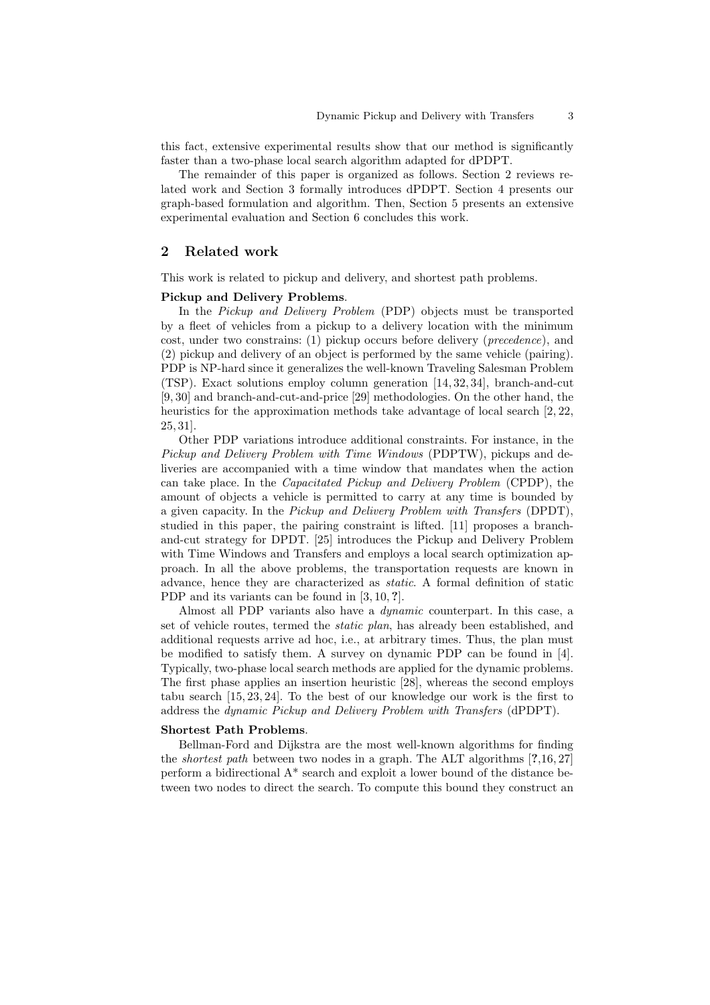this fact, extensive experimental results show that our method is significantly faster than a two-phase local search algorithm adapted for dPDPT.

The remainder of this paper is organized as follows. Section 2 reviews related work and Section 3 formally introduces dPDPT. Section 4 presents our graph-based formulation and algorithm. Then, Section 5 presents an extensive experimental evaluation and Section 6 concludes this work.

# 2 Related work

This work is related to pickup and delivery, and shortest path problems.

### Pickup and Delivery Problems.

In the *Pickup and Delivery Problem* (PDP) objects must be transported by a fleet of vehicles from a pickup to a delivery location with the minimum cost, under two constrains: (1) pickup occurs before delivery (precedence), and (2) pickup and delivery of an object is performed by the same vehicle (pairing). PDP is NP-hard since it generalizes the well-known Traveling Salesman Problem (TSP). Exact solutions employ column generation [14, 32, 34], branch-and-cut [9, 30] and branch-and-cut-and-price [29] methodologies. On the other hand, the heuristics for the approximation methods take advantage of local search [2, 22, 25, 31].

Other PDP variations introduce additional constraints. For instance, in the Pickup and Delivery Problem with Time Windows (PDPTW), pickups and deliveries are accompanied with a time window that mandates when the action can take place. In the Capacitated Pickup and Delivery Problem (CPDP), the amount of objects a vehicle is permitted to carry at any time is bounded by a given capacity. In the Pickup and Delivery Problem with Transfers (DPDT), studied in this paper, the pairing constraint is lifted. [11] proposes a branchand-cut strategy for DPDT. [25] introduces the Pickup and Delivery Problem with Time Windows and Transfers and employs a local search optimization approach. In all the above problems, the transportation requests are known in advance, hence they are characterized as static. A formal definition of static PDP and its variants can be found in  $[3, 10, ?]$ .

Almost all PDP variants also have a dynamic counterpart. In this case, a set of vehicle routes, termed the *static plan*, has already been established, and additional requests arrive ad hoc, i.e., at arbitrary times. Thus, the plan must be modified to satisfy them. A survey on dynamic PDP can be found in [4]. Typically, two-phase local search methods are applied for the dynamic problems. The first phase applies an insertion heuristic [28], whereas the second employs tabu search [15, 23, 24]. To the best of our knowledge our work is the first to address the dynamic Pickup and Delivery Problem with Transfers (dPDPT).

### Shortest Path Problems.

Bellman-Ford and Dijkstra are the most well-known algorithms for finding the shortest path between two nodes in a graph. The ALT algorithms [?,16, 27] perform a bidirectional A\* search and exploit a lower bound of the distance between two nodes to direct the search. To compute this bound they construct an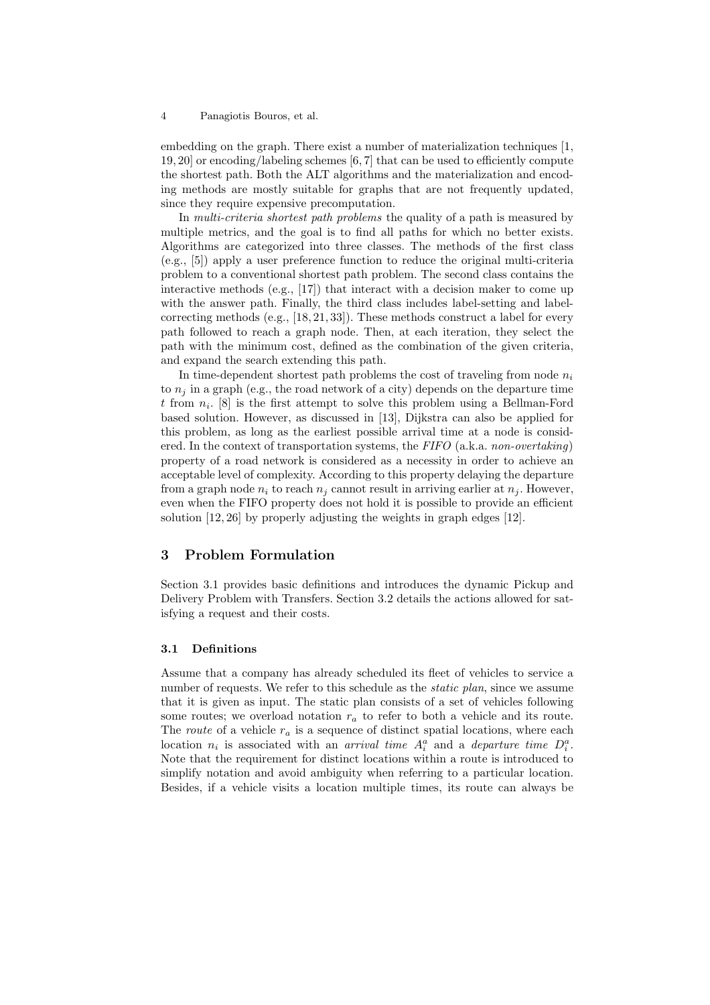embedding on the graph. There exist a number of materialization techniques [1, 19, 20] or encoding/labeling schemes [6, 7] that can be used to efficiently compute the shortest path. Both the ALT algorithms and the materialization and encoding methods are mostly suitable for graphs that are not frequently updated, since they require expensive precomputation.

In multi-criteria shortest path problems the quality of a path is measured by multiple metrics, and the goal is to find all paths for which no better exists. Algorithms are categorized into three classes. The methods of the first class (e.g., [5]) apply a user preference function to reduce the original multi-criteria problem to a conventional shortest path problem. The second class contains the interactive methods (e.g., [17]) that interact with a decision maker to come up with the answer path. Finally, the third class includes label-setting and labelcorrecting methods  $(e.g., [18, 21, 33])$ . These methods construct a label for every path followed to reach a graph node. Then, at each iteration, they select the path with the minimum cost, defined as the combination of the given criteria, and expand the search extending this path.

In time-dependent shortest path problems the cost of traveling from node  $n_i$ to  $n_i$  in a graph (e.g., the road network of a city) depends on the departure time t from  $n_i$ . [8] is the first attempt to solve this problem using a Bellman-Ford based solution. However, as discussed in [13], Dijkstra can also be applied for this problem, as long as the earliest possible arrival time at a node is considered. In the context of transportation systems, the FIFO (a.k.a. non-overtaking) property of a road network is considered as a necessity in order to achieve an acceptable level of complexity. According to this property delaying the departure from a graph node  $n_i$  to reach  $n_j$  cannot result in arriving earlier at  $n_j$ . However, even when the FIFO property does not hold it is possible to provide an efficient solution [12, 26] by properly adjusting the weights in graph edges [12].

# 3 Problem Formulation

Section 3.1 provides basic definitions and introduces the dynamic Pickup and Delivery Problem with Transfers. Section 3.2 details the actions allowed for satisfying a request and their costs.

### 3.1 Definitions

Assume that a company has already scheduled its fleet of vehicles to service a number of requests. We refer to this schedule as the *static plan*, since we assume that it is given as input. The static plan consists of a set of vehicles following some routes; we overload notation  $r_a$  to refer to both a vehicle and its route. The *route* of a vehicle  $r_a$  is a sequence of distinct spatial locations, where each location  $n_i$  is associated with an *arrival time*  $A_i^a$  and a *departure time*  $D_i^a$ . Note that the requirement for distinct locations within a route is introduced to simplify notation and avoid ambiguity when referring to a particular location. Besides, if a vehicle visits a location multiple times, its route can always be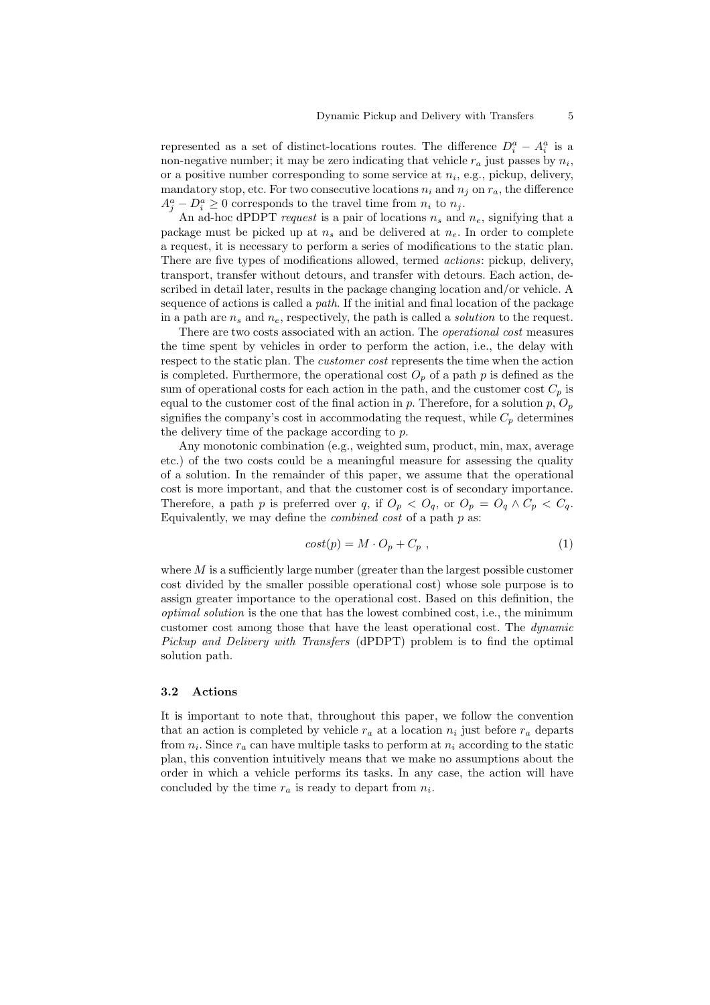represented as a set of distinct-locations routes. The difference  $D_i^a - A_i^a$  is a non-negative number; it may be zero indicating that vehicle  $r_a$  just passes by  $n_i$ , or a positive number corresponding to some service at  $n_i$ , e.g., pickup, delivery, mandatory stop, etc. For two consecutive locations  $n_i$  and  $n_j$  on  $r_a$ , the difference  $A_j^a - D_i^a \ge 0$  corresponds to the travel time from  $n_i$  to  $n_j$ .

An ad-hoc dPDPT request is a pair of locations  $n_s$  and  $n_e$ , signifying that a package must be picked up at  $n_s$  and be delivered at  $n_e$ . In order to complete a request, it is necessary to perform a series of modifications to the static plan. There are five types of modifications allowed, termed actions: pickup, delivery, transport, transfer without detours, and transfer with detours. Each action, described in detail later, results in the package changing location and/or vehicle. A sequence of actions is called a *path*. If the initial and final location of the package in a path are  $n_s$  and  $n_e$ , respectively, the path is called a *solution* to the request.

There are two costs associated with an action. The operational cost measures the time spent by vehicles in order to perform the action, i.e., the delay with respect to the static plan. The *customer cost* represents the time when the action is completed. Furthermore, the operational cost  $O_p$  of a path p is defined as the sum of operational costs for each action in the path, and the customer cost  $C_p$  is equal to the customer cost of the final action in p. Therefore, for a solution  $p, O_p$ signifies the company's cost in accommodating the request, while  $C_p$  determines the delivery time of the package according to p.

Any monotonic combination (e.g., weighted sum, product, min, max, average etc.) of the two costs could be a meaningful measure for assessing the quality of a solution. In the remainder of this paper, we assume that the operational cost is more important, and that the customer cost is of secondary importance. Therefore, a path p is preferred over q, if  $O_p < O_q$ , or  $O_p = O_q \wedge C_p < C_q$ . Equivalently, we may define the *combined cost* of a path  $p$  as:

$$
cost(p) = M \cdot O_p + C_p , \qquad (1)
$$

where  $M$  is a sufficiently large number (greater than the largest possible customer cost divided by the smaller possible operational cost) whose sole purpose is to assign greater importance to the operational cost. Based on this definition, the optimal solution is the one that has the lowest combined cost, i.e., the minimum customer cost among those that have the least operational cost. The dynamic Pickup and Delivery with Transfers (dPDPT) problem is to find the optimal solution path.

#### 3.2 Actions

It is important to note that, throughout this paper, we follow the convention that an action is completed by vehicle  $r_a$  at a location  $n_i$  just before  $r_a$  departs from  $n_i$ . Since  $r_a$  can have multiple tasks to perform at  $n_i$  according to the static plan, this convention intuitively means that we make no assumptions about the order in which a vehicle performs its tasks. In any case, the action will have concluded by the time  $r_a$  is ready to depart from  $n_i$ .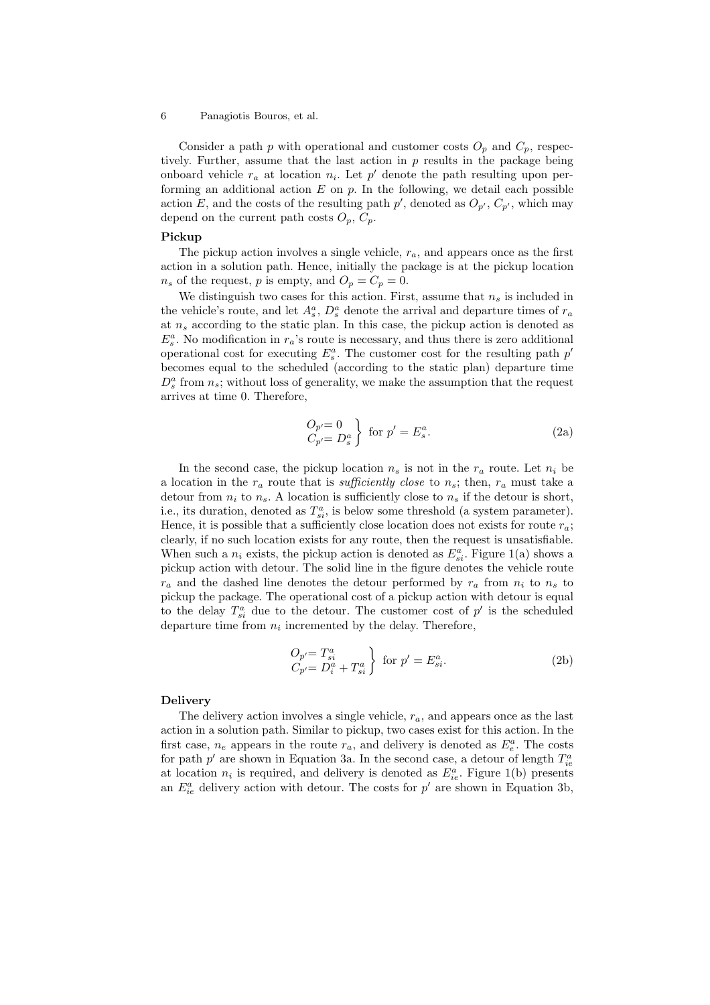Consider a path p with operational and customer costs  $O_p$  and  $C_p$ , respectively. Further, assume that the last action in  $p$  results in the package being onboard vehicle  $r_a$  at location  $n_i$ . Let  $p'$  denote the path resulting upon performing an additional action  $E$  on  $p$ . In the following, we detail each possible action E, and the costs of the resulting path  $p'$ , denoted as  $O_{p'}$ ,  $C_{p'}$ , which may depend on the current path costs  $O_p$ ,  $C_p$ .

#### Pickup

The pickup action involves a single vehicle,  $r_a$ , and appears once as the first action in a solution path. Hence, initially the package is at the pickup location  $n_s$  of the request, p is empty, and  $O_p = C_p = 0$ .

We distinguish two cases for this action. First, assume that  $n_s$  is included in the vehicle's route, and let  $A_s^a$ ,  $D_s^a$  denote the arrival and departure times of  $r_a$ at  $n_s$  according to the static plan. In this case, the pickup action is denoted as  $E_s^a$ . No modification in  $r_a$ 's route is necessary, and thus there is zero additional operational cost for executing  $E_s^a$ . The customer cost for the resulting path  $p'$ becomes equal to the scheduled (according to the static plan) departure time  $D_s^a$  from  $n_s$ ; without loss of generality, we make the assumption that the request arrives at time 0. Therefore,

$$
\begin{aligned}\nO_{p'} &= 0\\ \nC_{p'} &= D_s^a\n\end{aligned}\n\} \text{ for } p' = E_s^a.
$$
\n(2a)

In the second case, the pickup location  $n_s$  is not in the  $r_a$  route. Let  $n_i$  be a location in the  $r_a$  route that is *sufficiently close* to  $n_s$ ; then,  $r_a$  must take a detour from  $n_i$  to  $n_s$ . A location is sufficiently close to  $n_s$  if the detour is short, i.e., its duration, denoted as  $T_{si}^a$ , is below some threshold (a system parameter). Hence, it is possible that a sufficiently close location does not exists for route  $r_a$ ; clearly, if no such location exists for any route, then the request is unsatisfiable. When such a  $n_i$  exists, the pickup action is denoted as  $E_{si}^a$ . Figure 1(a) shows a pickup action with detour. The solid line in the figure denotes the vehicle route  $r_a$  and the dashed line denotes the detour performed by  $r_a$  from  $n_i$  to  $n_s$  to pickup the package. The operational cost of a pickup action with detour is equal to the delay  $T_{si}^a$  due to the detour. The customer cost of  $p'$  is the scheduled departure time from  $n_i$  incremented by the delay. Therefore,

$$
\begin{aligned}\nO_{p'} &= T_{si}^a \\
C_{p'} &= D_i^a + T_{si}^a\n\end{aligned}\n\} \text{ for } p' = E_{si}^a.
$$
\n(2b)

#### Delivery

The delivery action involves a single vehicle,  $r_a$ , and appears once as the last action in a solution path. Similar to pickup, two cases exist for this action. In the first case,  $n_e$  appears in the route  $r_a$ , and delivery is denoted as  $E_e^a$ . The costs for path  $p'$  are shown in Equation 3a. In the second case, a detour of length  $T^a_{ie}$ at location  $n_i$  is required, and delivery is denoted as  $E_{ie}^a$ . Figure 1(b) presents an  $E_{ie}^a$  delivery action with detour. The costs for  $p'$  are shown in Equation 3b,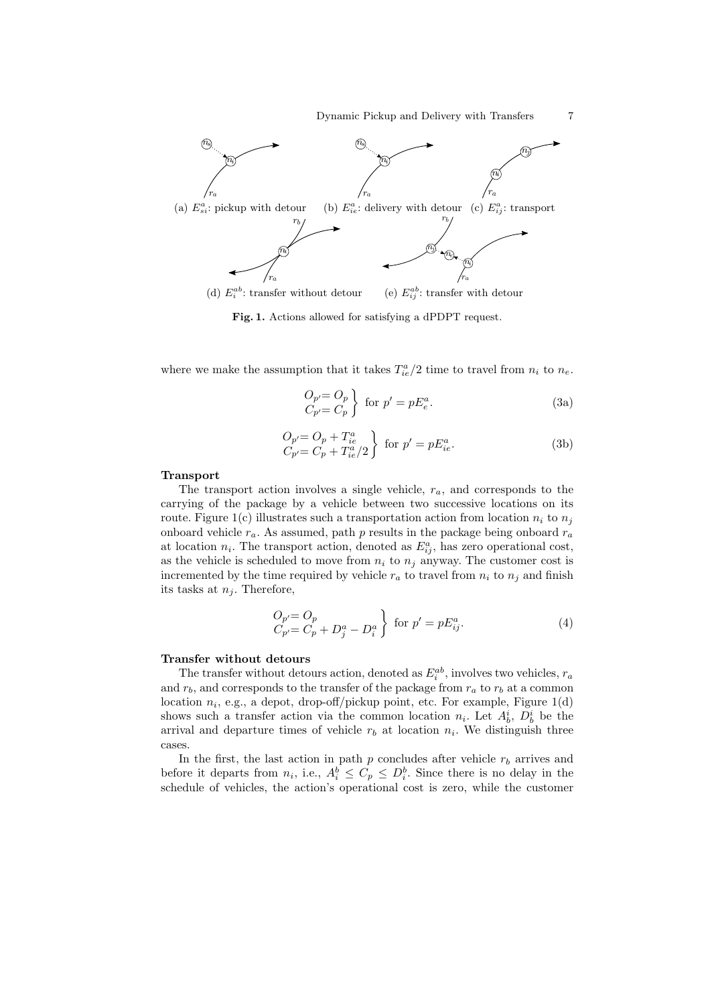

Fig. 1. Actions allowed for satisfying a dPDPT request.

where we make the assumption that it takes  $T_{ie}^a/2$  time to travel from  $n_i$  to  $n_e$ .

$$
\begin{array}{c}\nO_{p'} = O_p \\
C_{p'} = C_p\n\end{array}\n\bigg\} \n\text{ for } p' = pE_e^a.
$$
\n(3a)

$$
\begin{aligned}\nO_{p'} &= O_p + T_{ie}^a \\
C_{p'} &= C_p + T_{ie}^a/2\n\end{aligned}\n\} \text{ for } p' = pE_{ie}^a.
$$
\n(3b)

#### Transport

The transport action involves a single vehicle,  $r_a$ , and corresponds to the carrying of the package by a vehicle between two successive locations on its route. Figure 1(c) illustrates such a transportation action from location  $n_i$  to  $n_j$ onboard vehicle  $r_a$ . As assumed, path p results in the package being onboard  $r_a$ at location  $n_i$ . The transport action, denoted as  $E_{ij}^a$ , has zero operational cost, as the vehicle is scheduled to move from  $n_i$  to  $n_j$  anyway. The customer cost is incremented by the time required by vehicle  $r_a$  to travel from  $n_i$  to  $n_j$  and finish its tasks at  $n_j$ . Therefore,

$$
\begin{aligned}\nO_{p'} &= O_p \\
C_{p'} &= C_p + D_j^a - D_i^a\n\end{aligned}\n\} \text{ for } p' = pE_{ij}^a.
$$
\n(4)

### Transfer without detours

The transfer without detours action, denoted as  $E_i^{ab}$ , involves two vehicles,  $r_a$ and  $r_b$ , and corresponds to the transfer of the package from  $r_a$  to  $r_b$  at a common location  $n_i$ , e.g., a depot, drop-off/pickup point, etc. For example, Figure 1(d) shows such a transfer action via the common location  $n_i$ . Let  $A_b^i$ ,  $D_b^i$  be the arrival and departure times of vehicle  $r_b$  at location  $n_i$ . We distinguish three cases.

In the first, the last action in path  $p$  concludes after vehicle  $r_b$  arrives and before it departs from  $n_i$ , i.e.,  $A_i^b \leq C_p \leq D_i^b$ . Since there is no delay in the schedule of vehicles, the action's operational cost is zero, while the customer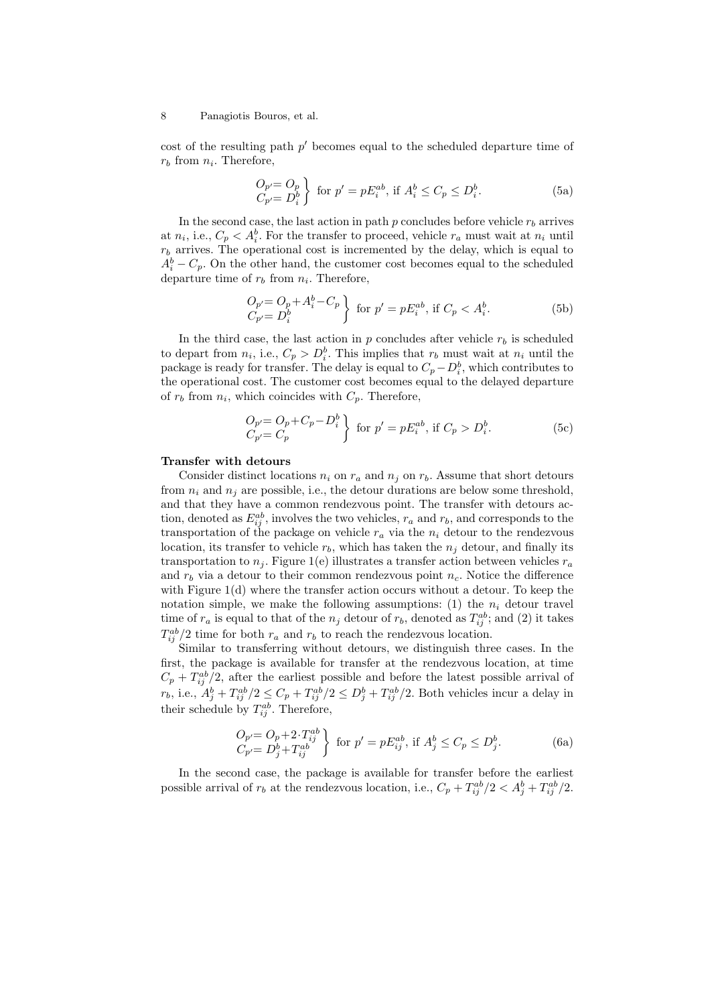$\cos t$  of the resulting path  $p'$  becomes equal to the scheduled departure time of  $r_b$  from  $n_i$ . Therefore,

$$
\begin{aligned}\nO_{p'} &= O_p \\
C_{p'} &= D_i^b\n\end{aligned}\n\} \text{ for } p' = pE_i^{ab}, \text{ if } A_i^b \le C_p \le D_i^b.
$$
\n(5a)

In the second case, the last action in path  $p$  concludes before vehicle  $r_b$  arrives at  $n_i$ , i.e.,  $C_p < A_i^b$ . For the transfer to proceed, vehicle  $r_a$  must wait at  $n_i$  until  $r_b$  arrives. The operational cost is incremented by the delay, which is equal to  $A_i^b - C_p$ . On the other hand, the customer cost becomes equal to the scheduled departure time of  $r_b$  from  $n_i$ . Therefore,

$$
\begin{aligned}\nO_{p'} &= O_p + A_i^b - C_p \\
C_{p'} &= D_i^b\n\end{aligned} \text{ for } p' = pE_i^{ab}, \text{ if } C_p < A_i^b.
$$
\n(5b)

In the third case, the last action in  $p$  concludes after vehicle  $r_b$  is scheduled to depart from  $n_i$ , i.e.,  $C_p > D_i^b$ . This implies that  $r_b$  must wait at  $n_i$  until the package is ready for transfer. The delay is equal to  $C_p - D_i^b$ , which contributes to the operational cost. The customer cost becomes equal to the delayed departure of  $r_b$  from  $n_i$ , which coincides with  $C_p$ . Therefore,

$$
\begin{aligned}\nO_{p'} &= O_p + C_p - D_i^b \\
C_{p'} &= C_p\n\end{aligned}\n\bigg\} \n\text{ for } p' = pE_i^{ab}, \text{ if } C_p > D_i^b.
$$
\n(5c)

### Transfer with detours

Consider distinct locations  $n_i$  on  $r_a$  and  $n_j$  on  $r_b$ . Assume that short detours from  $n_i$  and  $n_j$  are possible, i.e., the detour durations are below some threshold, and that they have a common rendezvous point. The transfer with detours action, denoted as  $E_{ij}^{ab}$ , involves the two vehicles,  $r_a$  and  $r_b$ , and corresponds to the transportation of the package on vehicle  $r_a$  via the  $n_i$  detour to the rendezvous location, its transfer to vehicle  $r_b$ , which has taken the  $n_i$  detour, and finally its transportation to  $n_i$ . Figure 1(e) illustrates a transfer action between vehicles  $r_a$ and  $r_b$  via a detour to their common rendezvous point  $n_c$ . Notice the difference with Figure 1(d) where the transfer action occurs without a detour. To keep the notation simple, we make the following assumptions: (1) the  $n_i$  detour travel time of  $r_a$  is equal to that of the  $n_j$  detour of  $r_b$ , denoted as  $T_{ij}^{ab}$ ; and (2) it takes  $T_{ij}^{ab}/2$  time for both  $r_a$  and  $r_b$  to reach the rendezvous location.

Similar to transferring without detours, we distinguish three cases. In the first, the package is available for transfer at the rendezvous location, at time  $C_p + T_{ij}^{ab}/2$ , after the earliest possible and before the latest possible arrival of  $r_b$ , i.e.,  $A_j^b + T_{ij}^{ab}/2 \le C_p + T_{ij}^{ab}/2 \le D_j^b + T_{ij}^{ab}/2$ . Both vehicles incur a delay in their schedule by  $T_{ij}^{ab}$ . Therefore,

$$
\begin{aligned}\nO_{p'} &= O_p + 2 \cdot T_{ij}^{ab} \\
C_{p'} &= D_j^b + T_{ij}^{ab}\n\end{aligned} \bigg\} \text{ for } p' = pE_{ij}^{ab}, \text{ if } A_j^b \le C_p \le D_j^b.
$$
\n(6a)

In the second case, the package is available for transfer before the earliest possible arrival of  $r_b$  at the rendezvous location, i.e.,  $C_p + T_{ij}^{ab}/2 < A_j^b + T_{ij}^{ab}/2$ .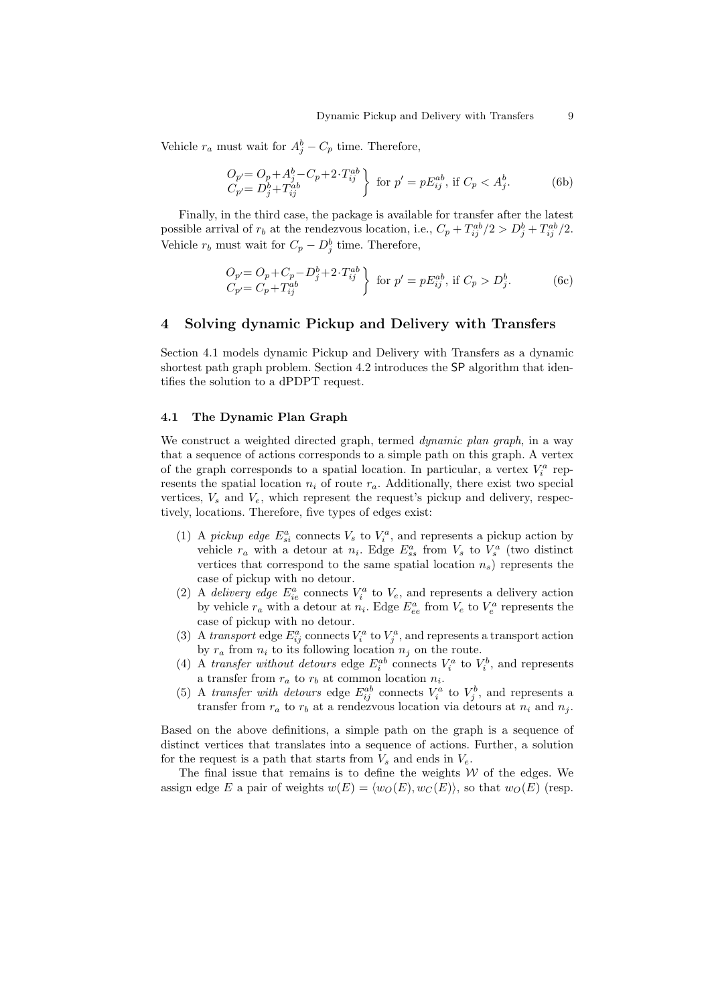Vehicle  $r_a$  must wait for  $A_j^b - C_p$  time. Therefore,

$$
\begin{aligned}\nO_{p'} &= O_p + A_j^b - C_p + 2 \cdot T_{ij}^{ab} \\
C_{p'} &= D_j^b + T_{ij}^{ab}\n\end{aligned} \right\} \text{ for } p' = pE_{ij}^{ab}, \text{ if } C_p < A_j^b. \tag{6b}
$$

Finally, in the third case, the package is available for transfer after the latest possible arrival of  $r_b$  at the rendezvous location, i.e.,  $C_p + T_{ij}^{ab}/2 > D_j^b + T_{ij}^{ab}/2$ . Vehicle  $r_b$  must wait for  $C_p - D_j^b$  time. Therefore,

$$
\begin{aligned}\nO_{p'} &= O_p + C_p - D_j^b + 2 \cdot T_{ij}^{ab} \\
C_{p'} &= C_p + T_{ij}^{ab}\n\end{aligned} \right\} \text{ for } p' = pE_{ij}^{ab}, \text{ if } C_p > D_j^b.
$$
\n(6c)

## 4 Solving dynamic Pickup and Delivery with Transfers

Section 4.1 models dynamic Pickup and Delivery with Transfers as a dynamic shortest path graph problem. Section 4.2 introduces the SP algorithm that identifies the solution to a dPDPT request.

### 4.1 The Dynamic Plan Graph

We construct a weighted directed graph, termed *dynamic plan graph*, in a way that a sequence of actions corresponds to a simple path on this graph. A vertex of the graph corresponds to a spatial location. In particular, a vertex  $V_i^a$  represents the spatial location  $n_i$  of route  $r_a$ . Additionally, there exist two special vertices,  $V_s$  and  $V_e$ , which represent the request's pickup and delivery, respectively, locations. Therefore, five types of edges exist:

- (1) A *pickup edge*  $E_{si}^a$  connects  $V_s$  to  $V_i^a$ , and represents a pickup action by vehicle  $r_a$  with a detour at  $n_i$ . Edge  $E_{ss}^a$  from  $V_s$  to  $V_s^a$  (two distinct vertices that correspond to the same spatial location  $n<sub>s</sub>$ ) represents the case of pickup with no detour.
- (2) A *delivery edge*  $E_{ie}^a$  connects  $V_i^a$  to  $V_e$ , and represents a delivery action by vehicle  $r_a$  with a detour at  $n_i$ . Edge  $E_{ee}^a$  from  $V_e$  to  $V_e^a$  represents the case of pickup with no detour.
- (3) A transport edge  $E_{ij}^a$  connects  $V_i^a$  to  $V_j^a$ , and represents a transport action by  $r_a$  from  $n_i$  to its following location  $n_j$  on the route.
- (4) A transfer without detours edge  $E_i^{ab}$  connects  $V_i^a$  to  $V_i^b$ , and represents a transfer from  $r_a$  to  $r_b$  at common location  $n_i$ .
- (5) A transfer with detours edge  $E_{ij}^{ab}$  connects  $V_i^a$  to  $V_j^b$ , and represents a transfer from  $r_a$  to  $r_b$  at a rendezvous location via detours at  $n_i$  and  $n_j$ .

Based on the above definitions, a simple path on the graph is a sequence of distinct vertices that translates into a sequence of actions. Further, a solution for the request is a path that starts from  $V_s$  and ends in  $V_e$ .

The final issue that remains is to define the weights  $W$  of the edges. We assign edge E a pair of weights  $w(E) = \langle w_O(E), w_C(E) \rangle$ , so that  $w_O(E)$  (resp.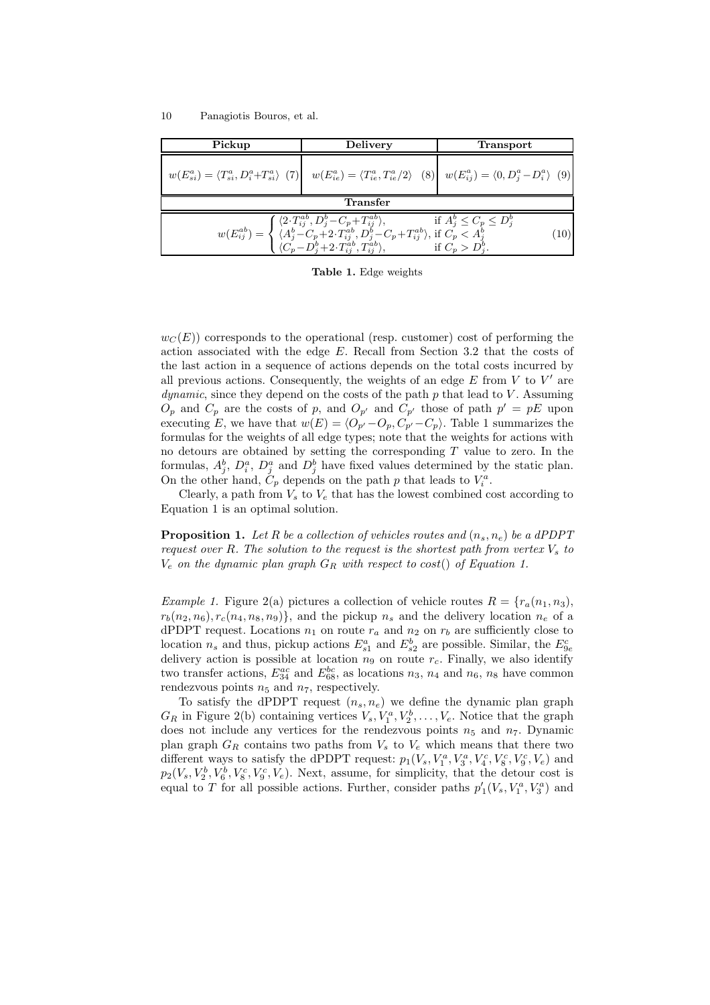| Pickup                                                                                                                                                                                                                                                                                                                                                             | <b>Delivery</b> | <b>Transport</b> |
|--------------------------------------------------------------------------------------------------------------------------------------------------------------------------------------------------------------------------------------------------------------------------------------------------------------------------------------------------------------------|-----------------|------------------|
| $w(E_{si}^a) = \langle T_{si}^a, D_i^a + T_{si}^a \rangle$ (7) $w(E_{ie}^a) = \langle T_{ie}^a, T_{ie}^a/2 \rangle$ (8) $w(E_{ij}^a) = \langle 0, D_j^a - D_i^a \rangle$ (9)                                                                                                                                                                                       |                 |                  |
| <b>Transfer</b>                                                                                                                                                                                                                                                                                                                                                    |                 |                  |
| $w(E_{ij}^{ab}) = \begin{cases} \langle 2 \cdot T_{ij}^{ab}, D_j^b - C_p + T_{ij}^{ab} \rangle, & \text{if } A_j^b \leq C_p \leq D_j^b \\ \langle A_j^b - C_p + 2 \cdot T_{ij}^{ab}, D_j^b - C_p + T_{ij}^{ab} \rangle, & \text{if } C_p < A_j^b \\ \langle C_p - D_j^b + 2 \cdot T_{ij}^{ab}, T_{ij}^{ab} \rangle, & \text{if } C_p > D_j^b. \end{cases}$<br>(10) |                 |                  |

Table 1. Edge weights

 $w<sub>C</sub>(E)$ ) corresponds to the operational (resp. customer) cost of performing the action associated with the edge  $E$ . Recall from Section 3.2 that the costs of the last action in a sequence of actions depends on the total costs incurred by all previous actions. Consequently, the weights of an edge  $E$  from  $V$  to  $V'$  are  $dynamic$ , since they depend on the costs of the path  $p$  that lead to  $V$ . Assuming  $O_p$  and  $C_p$  are the costs of p, and  $O_{p'}$  and  $C_{p'}$  those of path  $p' = pE$  upon executing E, we have that  $w(E) = \langle O_{p'} - O_p, C_{p'} - C_p \rangle$ . Table 1 summarizes the formulas for the weights of all edge types; note that the weights for actions with no detours are obtained by setting the corresponding  $T$  value to zero. In the formulas,  $A_j^b$ ,  $D_i^a$ ,  $D_j^a$  and  $D_j^b$  have fixed values determined by the static plan. On the other hand,  $\check{C}_p$  depends on the path p that leads to  $V_i^a$ .

Clearly, a path from  $V_s$  to  $V_e$  that has the lowest combined cost according to Equation 1 is an optimal solution.

**Proposition 1.** Let R be a collection of vehicles routes and  $(n_s, n_e)$  be a dPDPT request over R. The solution to the request is the shortest path from vertex  $V_s$  to  $V_e$  on the dynamic plan graph  $G_R$  with respect to cost() of Equation 1.

*Example 1.* Figure 2(a) pictures a collection of vehicle routes  $R = \{r_a(n_1, n_3),\}$  $r_b(n_2, n_6), r_c(n_4, n_8, n_9)$ , and the pickup  $n_s$  and the delivery location  $n_e$  of a dPDPT request. Locations  $n_1$  on route  $r_a$  and  $n_2$  on  $r_b$  are sufficiently close to location  $n_s$  and thus, pickup actions  $E_{s1}^a$  and  $E_{s2}^b$  are possible. Similar, the  $E_{9e}^c$ delivery action is possible at location  $n<sub>9</sub>$  on route  $r<sub>c</sub>$ . Finally, we also identify two transfer actions,  $E_{34}^{ac}$  and  $E_{68}^{bc}$ , as locations  $n_3$ ,  $n_4$  and  $n_6$ ,  $n_8$  have common rendezvous points  $n_5$  and  $n_7$ , respectively.

To satisfy the dPDPT request  $(n_s, n_e)$  we define the dynamic plan graph  $G_R$  in Figure 2(b) containing vertices  $V_s, V_1^a, V_2^b, \ldots, V_e$ . Notice that the graph does not include any vertices for the rendezvous points  $n_5$  and  $n_7$ . Dynamic plan graph  $G_R$  contains two paths from  $V_s$  to  $V_e$  which means that there two different ways to satisfy the dPDPT request:  $p_1(V_s, V_1^a, V_3^a, V_4^c, V_8^c, V_9^c, V_e)$  and  $p_2(V_s, V_2^b, V_6^c, V_8^c, V_9^c, V_e)$ . Next, assume, for simplicity, that the detour cost is equal to T for all possible actions. Further, consider paths  $p'_1(V_s, V_1^a, V_3^a)$  and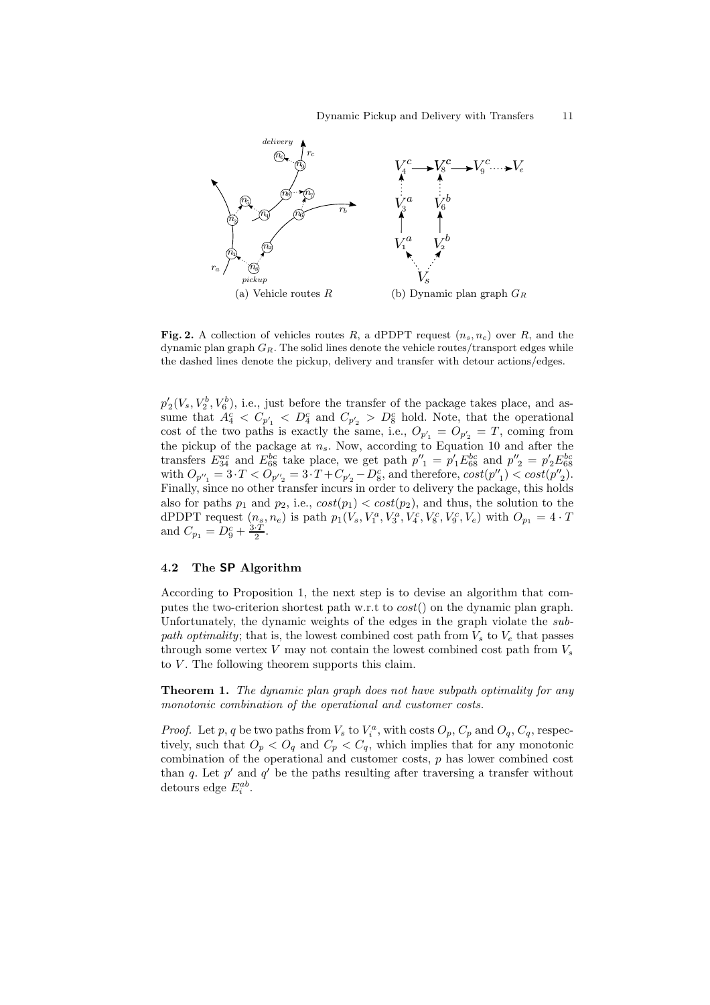

Fig. 2. A collection of vehicles routes R, a dPDPT request  $(n_s, n_e)$  over R, and the dynamic plan graph  $G_R$ . The solid lines denote the vehicle routes/transport edges while the dashed lines denote the pickup, delivery and transfer with detour actions/edges.

 $p'_2(V_s, V_2^b, V_6^b)$ , i.e., just before the transfer of the package takes place, and assume that  $A_4^c < C_{p'_1} < D_4^c$  and  $C_{p'_2} > D_8^c$  hold. Note, that the operational cost of the two paths is exactly the same, i.e.,  $O_{p'_1} = O_{p'_2} = T$ , coming from the pickup of the package at  $n_s$ . Now, according to Equation 10 and after the transfers  $E_{34}^{ac}$  and  $E_{68}^{bc}$  take place, we get path  $p''_1 = p'_1 E_{68}^{bc}$  and  $p''_2 = p'_2 E_{68}^{bc}$ <br>with  $O_{p''_1} = 3 \cdot T < O_{p''_2} = 3 \cdot T + C_{p'_2} - D_8^c$ , and therefore,  $cost(p''_1) < cost(p''_2)$ . Finally, since no other transfer incurs in order to delivery the package, this holds also for paths  $p_1$  and  $p_2$ , i.e.,  $cost(p_1) < cost(p_2)$ , and thus, the solution to the dPDPT request  $(n_s, n_e)$  is path  $p_1(V_s, V_1^a, V_3^a, V_4^c, V_8^c, V_9^c, V_e)$  with  $O_{p_1} = 4 \cdot T$ and  $C_{p_1} = D_9^c + \frac{3 \cdot T}{2}$ .

# 4.2 The SP Algorithm

According to Proposition 1, the next step is to devise an algorithm that computes the two-criterion shortest path w.r.t to  $cost()$  on the dynamic plan graph. Unfortunately, the dynamic weights of the edges in the graph violate the subpath optimality; that is, the lowest combined cost path from  $V_s$  to  $V_e$  that passes through some vertex  $V$  may not contain the lowest combined cost path from  $V_s$ to  $V$ . The following theorem supports this claim.

Theorem 1. The dynamic plan graph does not have subpath optimality for any monotonic combination of the operational and customer costs.

*Proof.* Let p, q be two paths from  $V_s$  to  $V_i^a$ , with costs  $O_p$ ,  $C_p$  and  $O_q$ ,  $C_q$ , respectively, such that  $O_p < O_q$  and  $C_p < C_q$ , which implies that for any monotonic combination of the operational and customer costs,  $p$  has lower combined cost than  $q$ . Let  $p'$  and  $q'$  be the paths resulting after traversing a transfer without detours edge  $E_i^{ab}$ .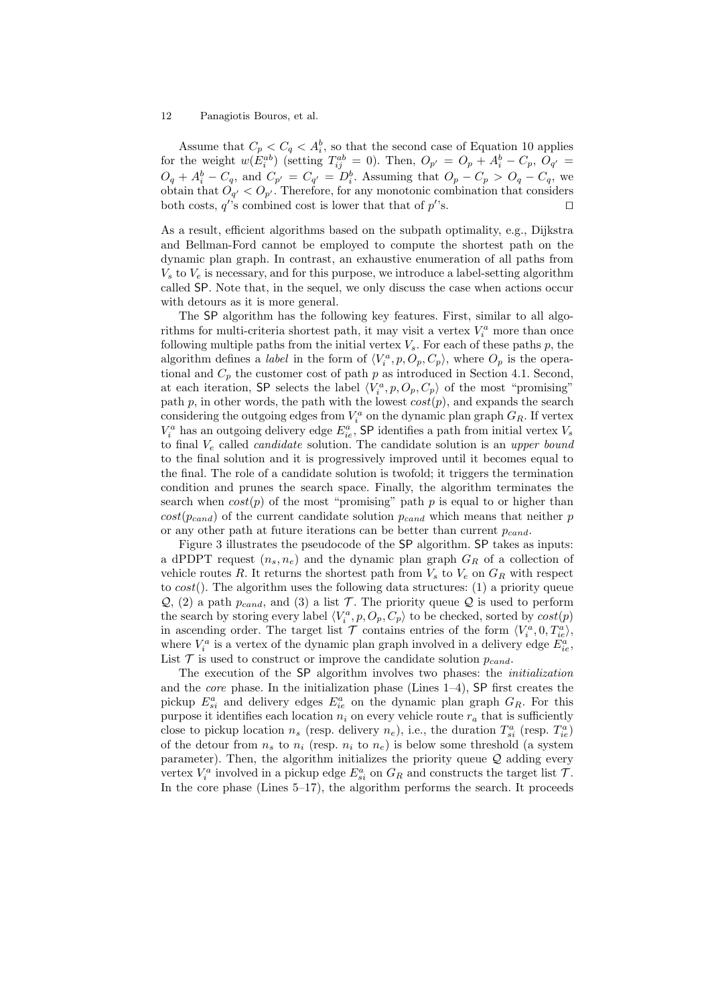Assume that  $C_p < C_q < A_i^b$ , so that the second case of Equation 10 applies for the weight  $w(E_i^{ab})$  (setting  $T_{ij}^{ab} = 0$ ). Then,  $O_{p'} = O_p + A_i^b - C_p$ ,  $O_{q'} =$  $O_q + A_i^b - C_q$ , and  $C_{p'} = C_{q'} = D_i^b$ . Assuming that  $O_p - C_p > O_q - C_q$ , we obtain that  $O_{q'} < O_{p'}$ . Therefore, for any monotonic combination that considers both costs,  $q$ 's combined cost is lower that that of  $p'$ 's. ⊓⊔

As a result, efficient algorithms based on the subpath optimality, e.g., Dijkstra and Bellman-Ford cannot be employed to compute the shortest path on the dynamic plan graph. In contrast, an exhaustive enumeration of all paths from  $V<sub>s</sub>$  to  $V<sub>e</sub>$  is necessary, and for this purpose, we introduce a label-setting algorithm called SP. Note that, in the sequel, we only discuss the case when actions occur with detours as it is more general.

The SP algorithm has the following key features. First, similar to all algorithms for multi-criteria shortest path, it may visit a vertex  $V_i^a$  more than once following multiple paths from the initial vertex  $V_s$ . For each of these paths  $p$ , the algorithm defines a *label* in the form of  $\langle V_i^a, p, O_p, C_p \rangle$ , where  $O_p$  is the operational and  $C_p$  the customer cost of path p as introduced in Section 4.1. Second, at each iteration, SP selects the label  $\langle V_i^a, p, O_p, C_p \rangle$  of the most "promising" path p, in other words, the path with the lowest  $cost(p)$ , and expands the search considering the outgoing edges from  $V_i^a$  on the dynamic plan graph  $G_R$ . If vertex  $V_i^a$  has an outgoing delivery edge  $E^a_{ie}$  SP identifies a path from initial vertex  $V_s$ to final  $V_e$  called *candidate* solution. The candidate solution is an upper bound to the final solution and it is progressively improved until it becomes equal to the final. The role of a candidate solution is twofold; it triggers the termination condition and prunes the search space. Finally, the algorithm terminates the search when  $cost(p)$  of the most "promising" path p is equal to or higher than  $cost(p_{cand})$  of the current candidate solution  $p_{cand}$  which means that neither p or any other path at future iterations can be better than current  $p_{cand}$ .

Figure 3 illustrates the pseudocode of the SP algorithm. SP takes as inputs: a dPDPT request  $(n_s, n_e)$  and the dynamic plan graph  $G_R$  of a collection of vehicle routes R. It returns the shortest path from  $V_s$  to  $V_e$  on  $G_R$  with respect to  $cost()$ . The algorithm uses the following data structures: (1) a priority queue  $Q, (2)$  a path  $p_{cand}$ , and (3) a list T. The priority queue Q is used to perform the search by storing every label  $\langle V_i^a, p, O_p, C_p \rangle$  to be checked, sorted by  $cost(p)$ in ascending order. The target list  $\mathcal T$  contains entries of the form  $\langle V_i^a, 0, T_{ie}^a \rangle$ , where  $V_i^a$  is a vertex of the dynamic plan graph involved in a delivery edge  $E_{ie}^a$ , List  $\mathcal T$  is used to construct or improve the candidate solution  $p_{cand}$ .

The execution of the SP algorithm involves two phases: the initialization and the core phase. In the initialization phase (Lines 1–4), SP first creates the pickup  $E_{si}^a$  and delivery edges  $E_{ie}^a$  on the dynamic plan graph  $G_R$ . For this purpose it identifies each location  $n_i$  on every vehicle route  $r_a$  that is sufficiently close to pickup location  $n_s$  (resp. delivery  $n_e$ ), i.e., the duration  $T_{si}^a$  (resp.  $T_{ie}^a$ ) of the detour from  $n_s$  to  $n_i$  (resp.  $n_i$  to  $n_e$ ) is below some threshold (a system parameter). Then, the algorithm initializes the priority queue  $Q$  adding every vertex  $V_i^a$  involved in a pickup edge  $E_{si}^a$  on  $G_R$  and constructs the target list  $\mathcal{T}$ . In the core phase (Lines 5–17), the algorithm performs the search. It proceeds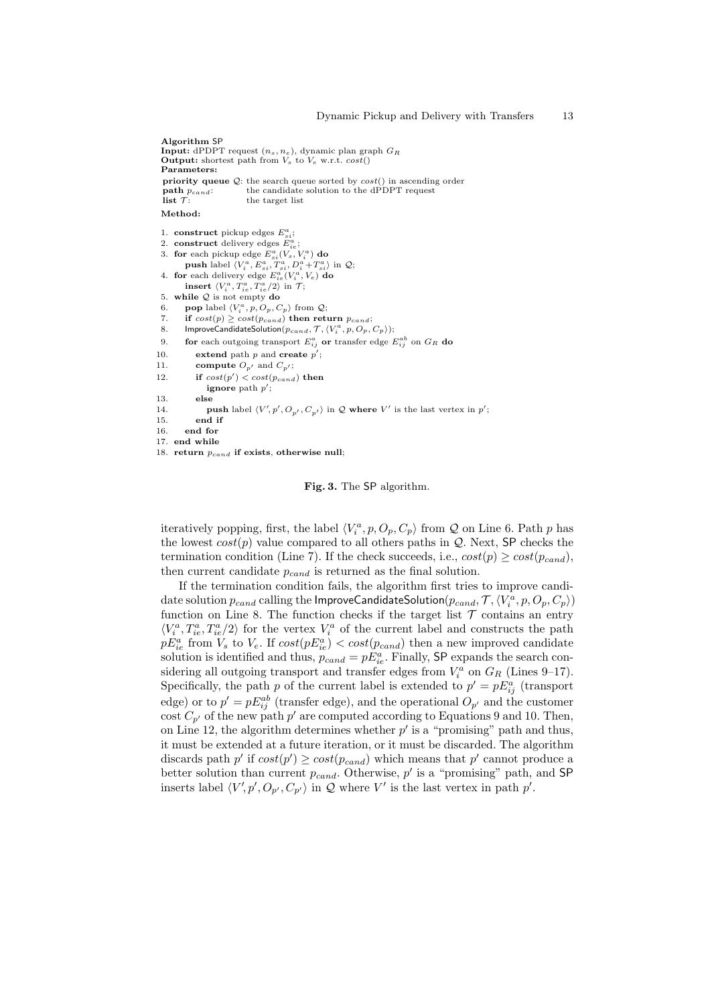```
Algorithm SP
 Input: dPDPT request (n_s, n_e), dynamic plan graph G_R<br>Output: shortest path from V_s to V_e w.r.t. cost()Parameters:
 priority queue Q: the search queue sorted by cost() in ascending order path p_{cand}: the candidate solution to the dPDPT request
  path p_{cand}: the candidate solution to the dPDPT request<br>list \mathcal{T}: the target list
                            the target list
 Method:
 1. construct pickup edges E_{si}^a;
 2. construct delivery edges E_{ie}^a;
 3. for each pickup edge E^a_{si}(V_s, V_i^a) do
 push label \langle V_i^a, E_{si}^a, T_{si}^a, D_i^a + T_{si}^a \rangle in Q;<br>4. for each delivery edge E_{ie}^a(V_i^a, V_e) do
         insert \langle V_i^a, T_{ie}^a, T_{ie}^a/2 \rangle in \mathcal{T};
 5. while Q is not empty do
 6. pop label \langle V_i^a, p, O_p, C_p \rangle from \mathcal{Q};
 7. if cost(p) \geq cost(p_{cand}) then return p_{cand};
 8. ImproveCandidateSolution(p_{cand}, \mathcal{T}, \langle V_i^a, p, O_p, C_p \rangle);9. for each outgoing transport E_{ij}^a or transfer edge E_{ij}^{ab} on G_R do
10. extend path p and create p';
11. compute O_{p'} and C_{p'};
12. if cost(p') < cost(p_{cand}) then
                ignore path p';
13. else
14. push label \langle V', p', O_{p'}, C_{p'} \rangle in Q where V' is the last vertex in p';
15. end if
16. end for
17. end while
18. return p_{cand} if exists, otherwise null;
```
#### Fig. 3. The SP algorithm.

iteratively popping, first, the label  $\langle V_i^a, p, O_p, C_p \rangle$  from  $\mathcal Q$  on Line 6. Path p has the lowest  $cost(p)$  value compared to all others paths in  $Q$ . Next, SP checks the termination condition (Line 7). If the check succeeds, i.e.,  $cost(p) \geq cost(p_{cand})$ , then current candidate  $p_{cand}$  is returned as the final solution.

If the termination condition fails, the algorithm first tries to improve candidate solution  $p_{cand}$  calling the ImproveCandidateSolution $(p_{cand}, \mathcal{T}, \langle V^a_i, p, O_p, C_p \rangle)$ function on Line 8. The function checks if the target list  $\mathcal T$  contains an entry  $\langle V_i^a, T_{ie}^a, T_{ie}^a/2 \rangle$  for the vertex  $V_i^a$  of the current label and constructs the path  $pE_{ie}^a$  from  $V_s$  to  $V_e$ . If  $cost(pE_{ie}^a) < cost(p_{cand})$  then a new improved candidate solution is identified and thus,  $p_{cand} = pE_{ie}^{a}$ . Finally, SP expands the search considering all outgoing transport and transfer edges from  $V_i^a$  on  $G_R$  (Lines 9-17). Specifically, the path p of the current label is extended to  $p' = pE_{ij}^a$  (transport edge) or to  $p' = pE_{ij}^{ab}$  (transfer edge), and the operational  $O_{p'}$  and the customer cost  $C_{p'}$  of the new path  $p'$  are computed according to Equations 9 and 10. Then, on Line 12, the algorithm determines whether  $p'$  is a "promising" path and thus, it must be extended at a future iteration, or it must be discarded. The algorithm discards path  $p'$  if  $cost(p') \ge cost(p_{cand})$  which means that  $p'$  cannot produce a better solution than current  $p_{cand}$ . Otherwise,  $p'$  is a "promising" path, and SP inserts label  $\langle V', p', O_{p'}, C_{p'} \rangle$  in  $\mathcal Q$  where V' is the last vertex in path  $p'$ .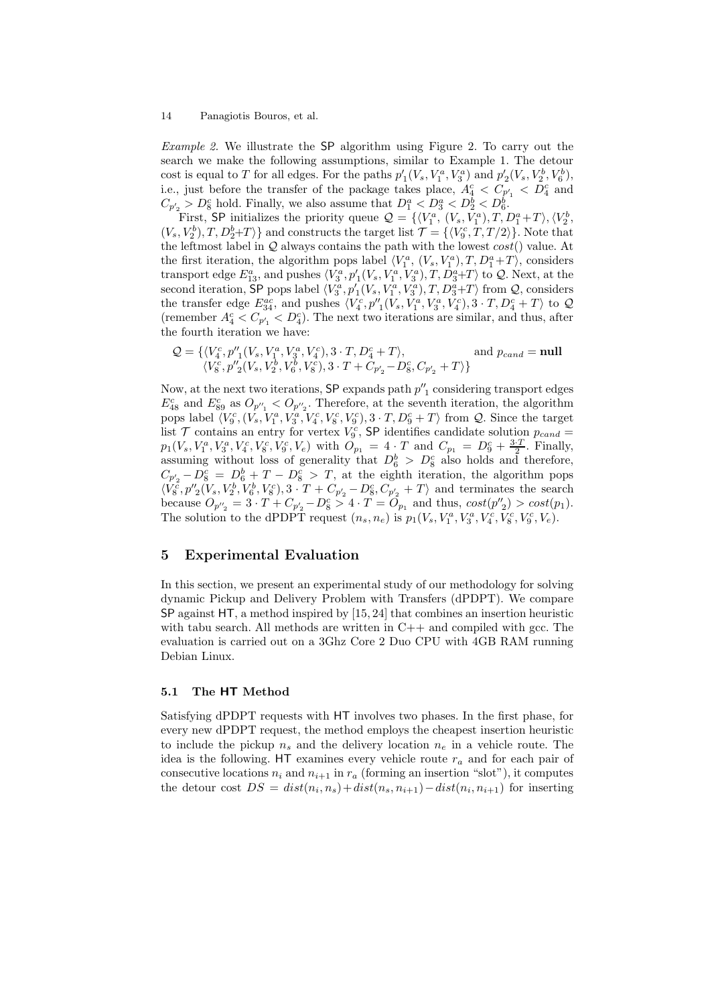Example 2. We illustrate the SP algorithm using Figure 2. To carry out the search we make the following assumptions, similar to Example 1. The detour cost is equal to T for all edges. For the paths  $p'_1(V_s, V_1^a, V_3^a)$  and  $p'_2(V_s, V_2^b, V_6^b)$ , i.e., just before the transfer of the package takes place,  $A_4^c < C_{p'_1} < D_4^c$  and  $C_{p'_2} > D_8^c$  hold. Finally, we also assume that  $D_1^a < D_3^a < D_2^b < D_6^b$ .

First, SP initializes the priority queue  $\mathcal{Q} = \{ \langle V_1^a, (V_s, V_1^a), T, D_1^a + T \rangle, \langle V_2^b,$  $(V_s, V_2^b), T, D_2^b+T \rangle$  and constructs the target list  $\mathcal{T} = \{ \langle V_9^c, T, T/2 \rangle \}$ . Note that the leftmost label in  $Q$  always contains the path with the lowest  $cost()$  value. At the first iteration, the algorithm pops label  $\langle V_1^a, (V_s, V_1^a), T, D_1^a + T \rangle$ , considers transport edge  $E_{13}^a$ , and pushes  $\langle V_3^a, p'_1(V_s, V_1^a, V_3^a), T, D_3^a+T \rangle$  to  $\mathcal{Q}$ . Next, at the second iteration, SP pops label  $\langle V_3^a, p'_1(V_s, V_1^a, V_3^a), T, D_3^a+T \rangle$  from  $\mathcal{Q}$ , considers the transfer edge  $E_{34}^{ac}$ , and pushes  $\langle V_4^c, p''_1(V_s, V_1^a, V_3^a, V_4^c), 3 \cdot T, D_4^c + T \rangle$  to  $\mathcal{Q}$ (remember  $A_4^c < C_{p'_1} < D_4^c$ ). The next two iterations are similar, and thus, after the fourth iteration we have:

$$
Q = \{ \langle V_4^c, p''_1(V_s, V_1^a, V_3^a, V_4^c), 3 \cdot T, D_4^c + T \rangle, \text{ and } p_{cand} = \textbf{null} \\ \langle V_8^c, p''_2(V_s, V_2^b, V_6^b, V_8^c), 3 \cdot T + C_{p'_2} - D_8^c, C_{p'_2} + T \rangle \}
$$

Now, at the next two iterations,  $\textsf{SP}$  expands path  $p''_1$  considering transport edges  $E_{48}^c$  and  $E_{89}^c$  as  $O_{p''_1} < O_{p''_2}$ . Therefore, at the seventh iteration, the algorithm pops label  $\langle V_9^c, (V_s, V_1^a, V_3^a, V_4^c, V_8^c, V_9^c), 3 \cdot T, D_9^c + T \rangle$  from  $\mathcal{Q}$ . Since the target list  $\mathcal T$  contains an entry for vertex  $V^c_9$ , SP identifies candidate solution  $p_{cand}$  $p_1(V_s, V_1^a, V_3^a, V_4^c, V_8^c, V_9^c, V_e)$  with  $O_{p_1} = 4 \cdot T$  and  $C_{p_1} = D_9^c + \frac{3 \cdot T}{2}$ . Finally,  $p_1(s, v_1, v_3, v_4, v_8, v_9, v_e)$  with  $\mathcal{O}_{p_1} = 4 \cdot 1$  and  $\mathcal{O}_{p_1} = \mathcal{O}_9 + \frac{1}{2}$ . Finally, assuming without loss of generality that  $D_6^b > D_8^c$  also holds and therefore,  $C_{p'_2} - D_8^c = D_6^b + T - D_8^c > T$ , at the eighth iteration, the algorithm pops  $\langle V_8^c, p''_2(V_s, V_2^b, V_6^b, V_8^c), 3 \cdot T + C_{p'_2} - D_8^c, C_{p'_2} + T \rangle$  and terminates the search because  $O_{p''_2} = 3 \cdot T + C_{p'_2} - D_8^c > 4 \cdot T = O_{p_1}$  and thus,  $cost(p''_2) > cost(p_1)$ . The solution to the dPDPT request  $(n_s, n_e)$  is  $p_1(V_s, V_1^a, V_3^a, V_4^c, V_8^c, V_9^c, V_e)$ .

# 5 Experimental Evaluation

In this section, we present an experimental study of our methodology for solving dynamic Pickup and Delivery Problem with Transfers (dPDPT). We compare SP against HT, a method inspired by [15, 24] that combines an insertion heuristic with tabu search. All methods are written in  $C++$  and compiled with gcc. The evaluation is carried out on a 3Ghz Core 2 Duo CPU with 4GB RAM running Debian Linux.

#### 5.1 The HT Method

Satisfying dPDPT requests with HT involves two phases. In the first phase, for every new dPDPT request, the method employs the cheapest insertion heuristic to include the pickup  $n_s$  and the delivery location  $n_e$  in a vehicle route. The idea is the following. HT examines every vehicle route  $r_a$  and for each pair of consecutive locations  $n_i$  and  $n_{i+1}$  in  $r_a$  (forming an insertion "slot"), it computes the detour cost  $DS = dist(n_i, n_s) + dist(n_s, n_{i+1}) - dist(n_i, n_{i+1})$  for inserting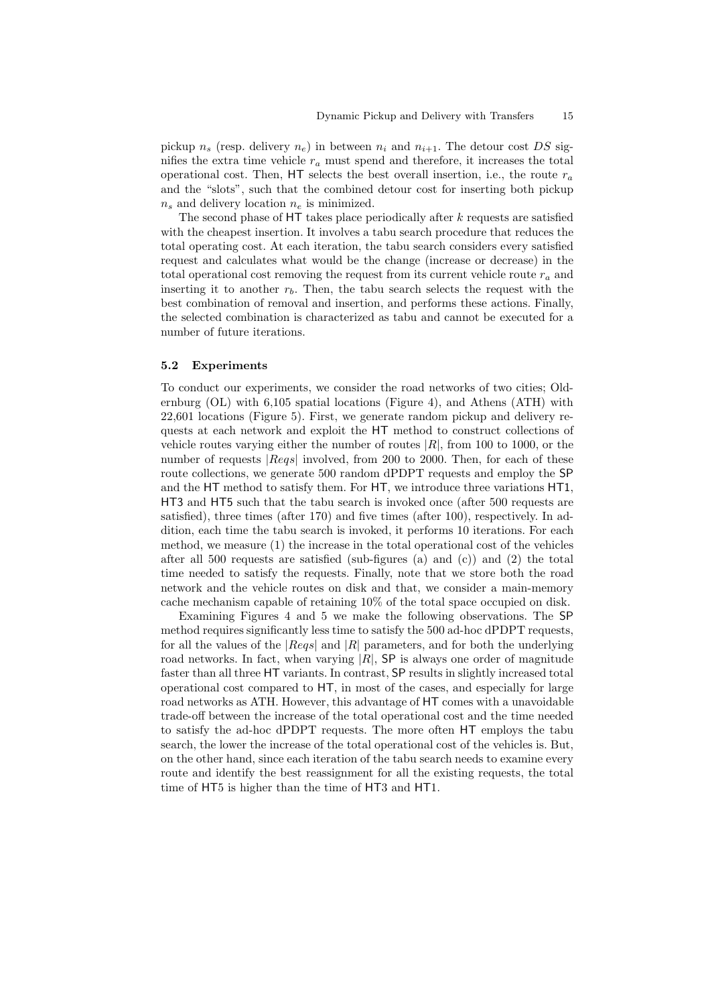pickup  $n_s$  (resp. delivery  $n_e$ ) in between  $n_i$  and  $n_{i+1}$ . The detour cost DS signifies the extra time vehicle  $r_a$  must spend and therefore, it increases the total operational cost. Then,  $HT$  selects the best overall insertion, i.e., the route  $r_a$ and the "slots", such that the combined detour cost for inserting both pickup  $n_s$  and delivery location  $n_e$  is minimized.

The second phase of HT takes place periodically after k requests are satisfied with the cheapest insertion. It involves a tabu search procedure that reduces the total operating cost. At each iteration, the tabu search considers every satisfied request and calculates what would be the change (increase or decrease) in the total operational cost removing the request from its current vehicle route  $r_a$  and inserting it to another  $r_b$ . Then, the tabu search selects the request with the best combination of removal and insertion, and performs these actions. Finally, the selected combination is characterized as tabu and cannot be executed for a number of future iterations.

### 5.2 Experiments

To conduct our experiments, we consider the road networks of two cities; Oldernburg  $(OL)$  with 6,105 spatial locations (Figure 4), and Athens (ATH) with 22,601 locations (Figure 5). First, we generate random pickup and delivery requests at each network and exploit the HT method to construct collections of vehicle routes varying either the number of routes  $|R|$ , from 100 to 1000, or the number of requests  $|Reqs|$  involved, from 200 to 2000. Then, for each of these route collections, we generate 500 random dPDPT requests and employ the SP and the HT method to satisfy them. For HT, we introduce three variations HT1, HT3 and HT5 such that the tabu search is invoked once (after 500 requests are satisfied), three times (after 170) and five times (after 100), respectively. In addition, each time the tabu search is invoked, it performs 10 iterations. For each method, we measure (1) the increase in the total operational cost of the vehicles after all 500 requests are satisfied (sub-figures (a) and (c)) and (2) the total time needed to satisfy the requests. Finally, note that we store both the road network and the vehicle routes on disk and that, we consider a main-memory cache mechanism capable of retaining 10% of the total space occupied on disk.

Examining Figures 4 and 5 we make the following observations. The SP method requires significantly less time to satisfy the 500 ad-hoc dPDPT requests, for all the values of the  $|Reqs|$  and  $|R|$  parameters, and for both the underlying road networks. In fact, when varying  $|R|$ , SP is always one order of magnitude faster than all three HT variants. In contrast, SP results in slightly increased total operational cost compared to HT, in most of the cases, and especially for large road networks as ATH. However, this advantage of HT comes with a unavoidable trade-off between the increase of the total operational cost and the time needed to satisfy the ad-hoc dPDPT requests. The more often HT employs the tabu search, the lower the increase of the total operational cost of the vehicles is. But, on the other hand, since each iteration of the tabu search needs to examine every route and identify the best reassignment for all the existing requests, the total time of HT5 is higher than the time of HT3 and HT1.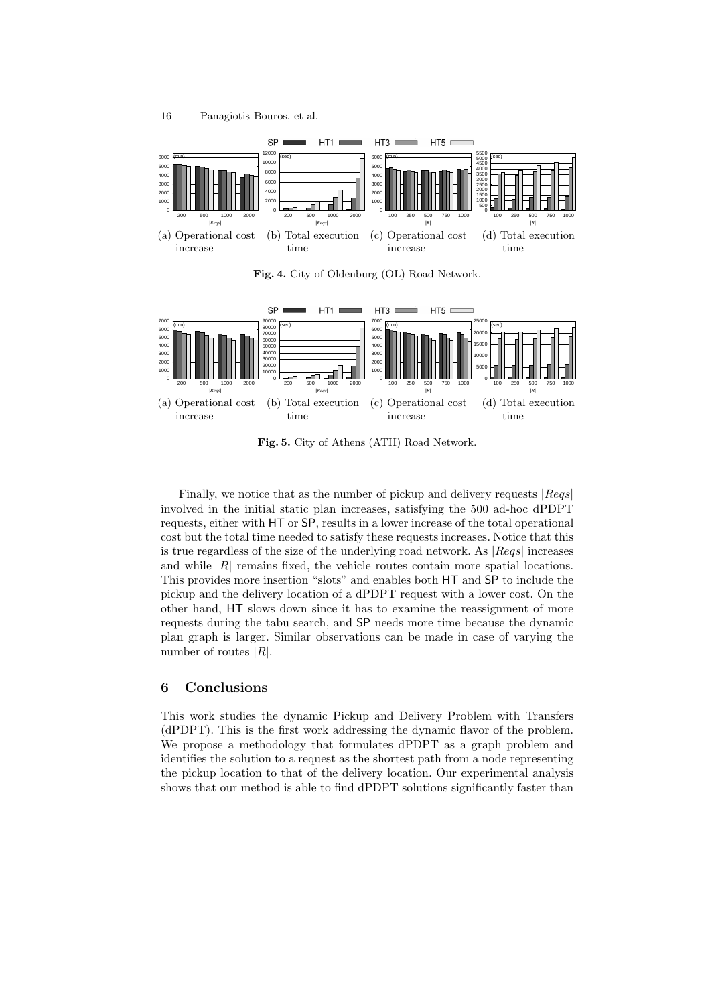

Fig. 4. City of Oldenburg (OL) Road Network.



Fig. 5. City of Athens (ATH) Road Network.

Finally, we notice that as the number of pickup and delivery requests  $|Reg|$ involved in the initial static plan increases, satisfying the 500 ad-hoc dPDPT requests, either with HT or SP, results in a lower increase of the total operational cost but the total time needed to satisfy these requests increases. Notice that this is true regardless of the size of the underlying road network. As  $|Regs|$  increases and while  $|R|$  remains fixed, the vehicle routes contain more spatial locations. This provides more insertion "slots" and enables both HT and SP to include the pickup and the delivery location of a dPDPT request with a lower cost. On the other hand, HT slows down since it has to examine the reassignment of more requests during the tabu search, and SP needs more time because the dynamic plan graph is larger. Similar observations can be made in case of varying the number of routes  $|R|$ .

# 6 Conclusions

This work studies the dynamic Pickup and Delivery Problem with Transfers (dPDPT). This is the first work addressing the dynamic flavor of the problem. We propose a methodology that formulates dPDPT as a graph problem and identifies the solution to a request as the shortest path from a node representing the pickup location to that of the delivery location. Our experimental analysis shows that our method is able to find dPDPT solutions significantly faster than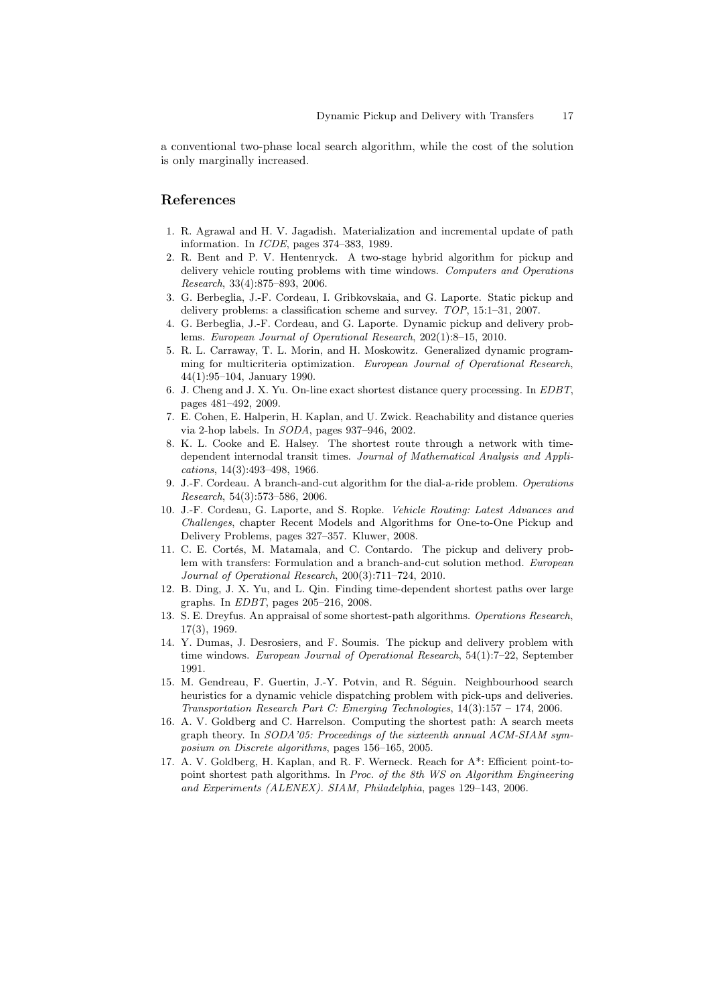a conventional two-phase local search algorithm, while the cost of the solution is only marginally increased.

# References

- 1. R. Agrawal and H. V. Jagadish. Materialization and incremental update of path information. In *ICDE*, pages 374–383, 1989.
- 2. R. Bent and P. V. Hentenryck. A two-stage hybrid algorithm for pickup and delivery vehicle routing problems with time windows. *Computers and Operations Research*, 33(4):875–893, 2006.
- 3. G. Berbeglia, J.-F. Cordeau, I. Gribkovskaia, and G. Laporte. Static pickup and delivery problems: a classification scheme and survey. *TOP*, 15:1–31, 2007.
- 4. G. Berbeglia, J.-F. Cordeau, and G. Laporte. Dynamic pickup and delivery problems. *European Journal of Operational Research*, 202(1):8–15, 2010.
- 5. R. L. Carraway, T. L. Morin, and H. Moskowitz. Generalized dynamic programming for multicriteria optimization. *European Journal of Operational Research*, 44(1):95–104, January 1990.
- 6. J. Cheng and J. X. Yu. On-line exact shortest distance query processing. In *EDBT*, pages 481–492, 2009.
- 7. E. Cohen, E. Halperin, H. Kaplan, and U. Zwick. Reachability and distance queries via 2-hop labels. In *SODA*, pages 937–946, 2002.
- 8. K. L. Cooke and E. Halsey. The shortest route through a network with timedependent internodal transit times. *Journal of Mathematical Analysis and Applications*, 14(3):493–498, 1966.
- 9. J.-F. Cordeau. A branch-and-cut algorithm for the dial-a-ride problem. *Operations Research*, 54(3):573–586, 2006.
- 10. J.-F. Cordeau, G. Laporte, and S. Ropke. *Vehicle Routing: Latest Advances and Challenges*, chapter Recent Models and Algorithms for One-to-One Pickup and Delivery Problems, pages 327–357. Kluwer, 2008.
- 11. C. E. Cortés, M. Matamala, and C. Contardo. The pickup and delivery problem with transfers: Formulation and a branch-and-cut solution method. *European Journal of Operational Research*, 200(3):711–724, 2010.
- 12. B. Ding, J. X. Yu, and L. Qin. Finding time-dependent shortest paths over large graphs. In *EDBT*, pages 205–216, 2008.
- 13. S. E. Dreyfus. An appraisal of some shortest-path algorithms. *Operations Research*, 17(3), 1969.
- 14. Y. Dumas, J. Desrosiers, and F. Soumis. The pickup and delivery problem with time windows. *European Journal of Operational Research*, 54(1):7–22, September 1991.
- 15. M. Gendreau, F. Guertin, J.-Y. Potvin, and R. Séguin. Neighbourhood search heuristics for a dynamic vehicle dispatching problem with pick-ups and deliveries. *Transportation Research Part C: Emerging Technologies*, 14(3):157 – 174, 2006.
- 16. A. V. Goldberg and C. Harrelson. Computing the shortest path: A search meets graph theory. In *SODA'05: Proceedings of the sixteenth annual ACM-SIAM symposium on Discrete algorithms*, pages 156–165, 2005.
- 17. A. V. Goldberg, H. Kaplan, and R. F. Werneck. Reach for A\*: Efficient point-topoint shortest path algorithms. In *Proc. of the 8th WS on Algorithm Engineering and Experiments (ALENEX). SIAM, Philadelphia*, pages 129–143, 2006.